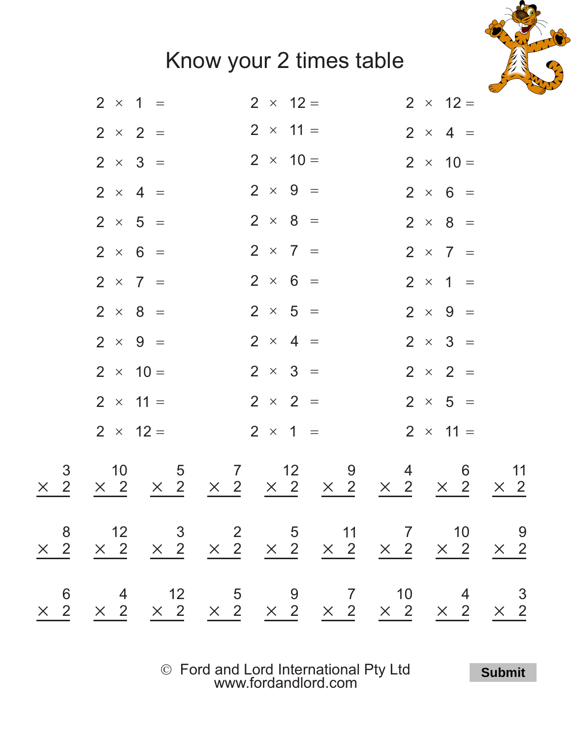## Know your 2 times table



|                 | $2 \times 1 =$                                   | $2 \times 12 =$                                                  | $2 \times 12 =$                                        |
|-----------------|--------------------------------------------------|------------------------------------------------------------------|--------------------------------------------------------|
|                 | $2 \times 2 =$                                   | $2 \times 11 =$                                                  | $2 \times 4 =$                                         |
|                 | $2 \times 3 =$                                   | $2 \times 10 =$                                                  | $2 \times 10 =$                                        |
|                 | $2 \times 4 =$                                   | $2 \times 9 =$                                                   | $2 \times 6 =$                                         |
|                 | $2 \times 5 =$                                   | $2 \times 8 =$                                                   | $2 \times 8 =$                                         |
|                 | $2 \times 6 =$                                   | $2 \times 7 =$                                                   | $2 \times 7 =$                                         |
|                 | $2 \times 7 =$                                   | $2 \times 6 =$                                                   | $2 \times 1 =$                                         |
|                 | $2 \times 8 =$                                   | $2 \times 5 =$                                                   | $2 \times 9 =$                                         |
|                 | $2 \times 9 =$                                   | $2 \times 4 =$                                                   | $2 \times 3 =$                                         |
|                 | $2 \times 10 =$                                  | $2 \times 3 =$                                                   | $2 \times 2 =$                                         |
|                 | $2 \times 11 =$                                  | $2 \times 2 =$                                                   | $2 \times 5 =$                                         |
|                 | $2 \times 12 =$                                  | $2 \times 1 =$                                                   | $2 \times 11 =$                                        |
| 3<br>$\times$ 2 | 10<br>$\overline{5}$<br>$\times$ 2<br>$\times$ 2 | 12<br>$\overline{7}$<br>9<br>$\times$ 2 $\times$ 2<br>$\times$ 2 | 11<br>4<br>6<br>$\times$ 2<br>$\times$ 2<br>$\times$ 2 |
|                 |                                                  |                                                                  |                                                        |
|                 |                                                  |                                                                  |                                                        |

Ó Ford and Lord International Pty Ltd [www.fordandlord.com](http://www.fordandlord.com)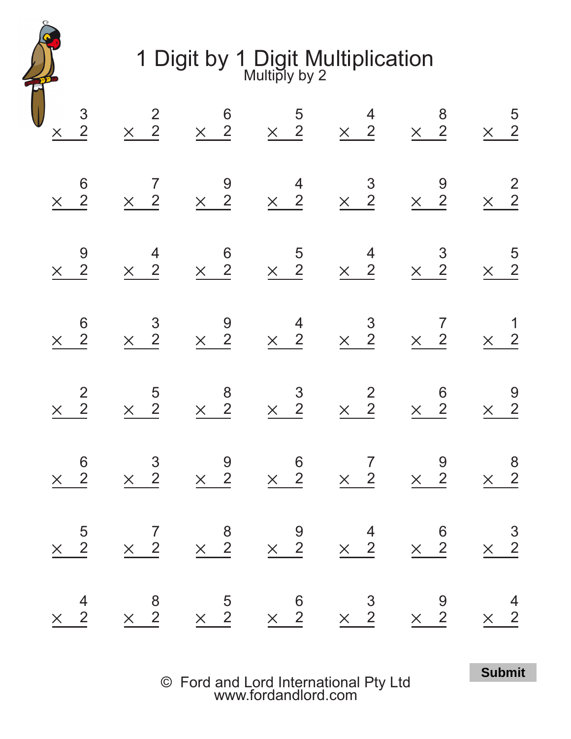1 Digit by 1 Digit Multiplication Multiply by 2

| $\begin{array}{c}\n 3 \\  \times 2\n \end{array}$<br>$\begin{array}{c} 6 \\ \times \end{array}$<br>$\begin{array}{c} 9 \\ \times 2 \end{array}$ | $\times$ $\frac{2}{2}$<br>$\begin{array}{c} 7 \\ \times \quad 2 \end{array}$<br>$\begin{array}{c}\n4 \\ \times 2\n\end{array}$ | $\begin{array}{c} 9 \\ \times 2 \end{array}$                         | $\begin{array}{ccccccccccccc} & & & & & 6 & & & 5 & & 4 & & 8 & & 5 \\ \times & 2 & & \times & 2 & & \times & 2 & & \times & 2 & & \times & 2 \end{array}$<br>$\begin{array}{c}\n4 \\ \times 2\n\end{array}$<br>$\begin{array}{ccc}\n & 6 & 5 \\ \times & 2 & \times & 2\n\end{array}$ | $\times$ $\frac{3}{2}$<br>$\begin{array}{c}\n4 \\ \times 2\n\end{array}$                                                                                                                                  | $\begin{array}{r} 9 \\ \times \quad 2 \end{array}$<br>$\begin{array}{c}\n 3 \\  \times 2\n \end{array}$ | $\times$ $\frac{2}{2}$<br>$\begin{array}{r} 5 \\ \times \end{array}$                  |
|-------------------------------------------------------------------------------------------------------------------------------------------------|--------------------------------------------------------------------------------------------------------------------------------|----------------------------------------------------------------------|----------------------------------------------------------------------------------------------------------------------------------------------------------------------------------------------------------------------------------------------------------------------------------------|-----------------------------------------------------------------------------------------------------------------------------------------------------------------------------------------------------------|---------------------------------------------------------------------------------------------------------|---------------------------------------------------------------------------------------|
| $\begin{array}{c} 6 \\ \times 2 \end{array}$                                                                                                    | $\times$ $\frac{3}{2}$                                                                                                         | $\begin{array}{c} 9 \\ \times 2 \end{array}$                         | $\begin{array}{c}\n4 \\ \times 2\n\end{array}$                                                                                                                                                                                                                                         | $\begin{array}{c}\n 3 \\  \times 2\n \end{array}$                                                                                                                                                         | $\begin{array}{c} 7 \\ \times \quad 2 \end{array}$                                                      | $\begin{array}{c} 1 \\ \times \quad 2 \end{array}$                                    |
| $\begin{array}{c}\n2 \\ 2\n\end{array}$<br>$\times$                                                                                             | $\begin{array}{r} 5 \\ \times 2 \end{array}$                                                                                   | $\begin{array}{c}\n 8 \\  \times \quad 2\n\end{array}$               | $\begin{array}{c}\n 3 \\  \times 2\n \end{array}$                                                                                                                                                                                                                                      | $\times$ $\frac{2}{2}$                                                                                                                                                                                    | $\begin{array}{c} 6 \\ \times 2 \end{array}$                                                            | $\begin{array}{r} 9 \\ \times 2 \end{array}$                                          |
| $\begin{array}{c} 6 \\ \times \quad 2 \end{array}$                                                                                              | $\begin{array}{r} 3 \\ \times 2 \end{array}$                                                                                   | $\begin{array}{r} 9 \\ \times 2 \end{array}$                         | $\begin{array}{c} 6 \\ \times \quad 2 \end{array}$                                                                                                                                                                                                                                     | $\begin{array}{@{}c@{\hspace{1em}}c@{\hspace{1em}}c}\n & \multicolumn{1}{c }{7}\n & \multicolumn{1}{c }{7}\n & \multicolumn{1}{c }{2}\n & \multicolumn{1}{c }{2}\n & \multicolumn{1}{c }{2}\n\end{array}$ | $\begin{array}{c} 9 \\ \times 2 \end{array}$                                                            | $\begin{array}{c} 8 \\ \times \quad 2 \end{array}$                                    |
| $\begin{array}{c} 5 \\ \times 2 \end{array}$                                                                                                    |                                                                                                                                |                                                                      | $\begin{array}{ccccc} & 7 & & 8 & & 9 \\ \times & 2 & & \times & 2 & & \times & 2 \end{array}$                                                                                                                                                                                         | $\begin{array}{c} 4 \\ \times \end{array}$                                                                                                                                                                | $\begin{array}{c} 6 \\ \times \quad 2 \end{array}$                                                      | $\times$ $\frac{3}{2}$                                                                |
| $\begin{array}{c} 4 \\ \times \end{array}$                                                                                                      |                                                                                                                                | $\begin{array}{ccc}\n & 8 & 5 \\ \times & 2 & \times 2\n\end{array}$ | $\begin{array}{c} 6 \\ \times 2 \end{array}$                                                                                                                                                                                                                                           | $\begin{array}{r} 3 \\ \times 2 \end{array}$                                                                                                                                                              | $\begin{array}{r} 9 \\ \times 2 \end{array}$                                                            | $\begin{array}{@{}c@{\hspace{1em}}c@{\hspace{1em}}}\n & 4 \\ \times & 2\n\end{array}$ |

© Ford and Lord International Pty Ltd [www.fordandlord.com](http://www.fordandlord.com)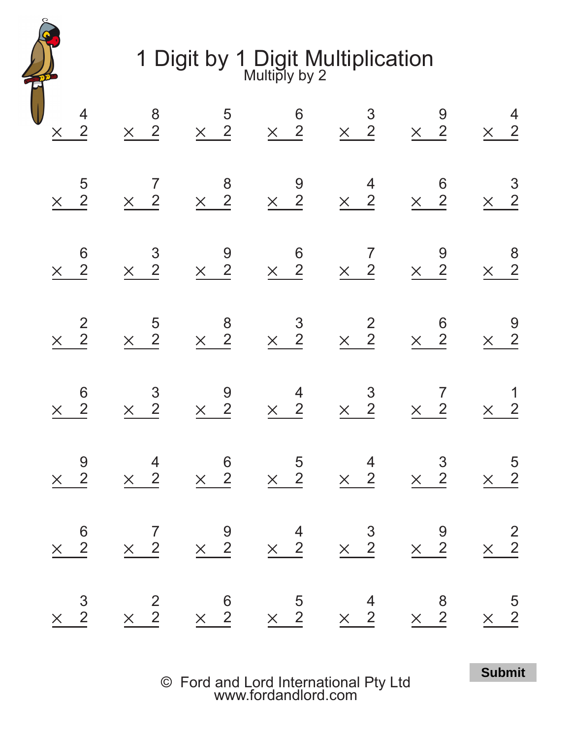1 Digit by 1 Digit Multiplication Multiply by 2

|                                                                   |                                                                                                                                                                                    |                                                                                        |                                                    |                                                   |                                                        |                                                                      | $\begin{array}{c} 4 \\ \times \quad 2 \end{array}$                                                                                                 |
|-------------------------------------------------------------------|------------------------------------------------------------------------------------------------------------------------------------------------------------------------------------|----------------------------------------------------------------------------------------|----------------------------------------------------|---------------------------------------------------|--------------------------------------------------------|----------------------------------------------------------------------|----------------------------------------------------------------------------------------------------------------------------------------------------|
| $\times$ $\frac{3}{2}$                                            |                                                                                                                                                                                    | $\begin{array}{c} 9 \\ \times 2 \end{array}$                                           | $\begin{array}{c} 6 \\ \times 2 \end{array}$       | $\times$ $\frac{2}{2}$                            | $\begin{array}{c} 6 \\ \times 2 \end{array}$           | $\begin{array}{c} 5 \\ \times \end{array}$                           |                                                                                                                                                    |
| $\times$ $\frac{2}{2}$                                            |                                                                                                                                                                                    | $\begin{array}{@{}c@{\hspace{1em}}c@{\hspace{1em}}c}\n & 4 \\ \times & 2\n\end{array}$ | $\times$ $\frac{3}{2}$                             | $\begin{array}{r} 5 \\ \times 2 \end{array}$      | $\begin{array}{r} 3 \\ \times 2 \end{array}$           | $\begin{array}{c} 7 \\ \times \quad 2 \end{array}$                   | $\times$ $\frac{8}{2}$                                                                                                                             |
|                                                                   |                                                                                                                                                                                    |                                                                                        | $\begin{array}{c} 9 \\ \times \quad 2 \end{array}$ | $\begin{array}{c}\n 8 \\  \times 2\n \end{array}$ | $\begin{array}{r} 9 \\ \times 2 \end{array}$           |                                                                      |                                                                                                                                                    |
| $\begin{array}{ccc} & 6 & 5 \\ \times & 2 & \times 2 \end{array}$ |                                                                                                                                                                                    | $\begin{array}{ccc}\n & 6 & 5 \\ \times & 2 & \times 2\n\end{array}$                   | $\begin{array}{c} 4 \\ \times \end{array}$         | $\times$ $\frac{3}{2}$                            | $\begin{array}{c} 6 \\ \times 2 \end{array}$           | $\begin{array}{ccc}\n & 8 & 9 \\ \times & 2 & \times 2\n\end{array}$ |                                                                                                                                                    |
| $\begin{array}{c} 4 \\ \times \end{array}$                        |                                                                                                                                                                                    | $\begin{array}{c}\n4 \\ \times 2\n\end{array}$                                         | $\times$ $\frac{3}{2}$                             | $\times$ $\frac{2}{2}$                            | $\begin{array}{c} 7 \\ \times \end{array}$             | $\begin{array}{c} 4 \\ \times \end{array}$                           |                                                                                                                                                    |
| $\times$ $\frac{8}{2}$                                            | $\begin{array}{ccccccccc}\n & & & & & & & 6 & & & 7 & & 9 & & 4 & & 3 & & 9 \\ \times & 2 & & \times & 2 & & \times & 2 & & \times & 2 & & \times & 2 & & \times & 2\n\end{array}$ | $\begin{array}{c}\n 3 \\  \times 2\n \end{array}$                                      | $\begin{array}{c} 7 \\ \times \quad 2 \end{array}$ | $\begin{array}{c} 6 \\ \times 2 \end{array}$      | $\begin{array}{c} 9 \\ \times 2 \end{array}$           | $\begin{array}{ccc}\n & 6 & 3 \\ \times & 2 & \times 2\n\end{array}$ | $\begin{array}{ccccccccc} & & & & 5 & & 6 & & 3 & & 9 & & 4 \\ \times & 2 & & \times & 2 & & \times & 2 & & \times & 2 & & \times & 2 \end{array}$ |
| $\begin{array}{r} 5 \\ \times 2 \end{array}$                      | $\times$ 2<br>$\times$ 2                                                                                                                                                           | $\begin{array}{r} 5 \\ \times \end{array}$                                             | $\begin{array}{c} 1 \\ \times \end{array}$         | $\begin{array}{c} 9 \\ \times \end{array}$        | $\begin{array}{c}\n 8 \\  \times \quad 2\n\end{array}$ |                                                                      |                                                                                                                                                    |

© Ford and Lord International Pty Ltd [www.fordandlord.com](http://www.fordandlord.com)